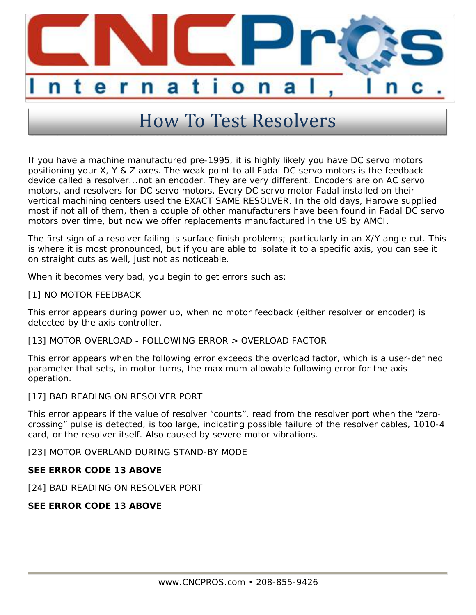

## How To Test Resolvers

If you have a machine manufactured pre-1995, it is highly likely you have DC servo motors positioning your X, Y & Z axes. The weak point to all Fadal DC servo motors is the feedback device called a resolver...not an encoder. They are very different. Encoders are on AC servo motors, and resolvers for DC servo motors. Every DC servo motor Fadal installed on their vertical machining centers used the EXACT SAME RESOLVER. In the old days, Harowe supplied most if not all of them, then a couple of other manufacturers have been found in Fadal DC servo motors over time, but now we offer replacements manufactured in the US by AMCI.

The first sign of a resolver failing is surface finish problems; particularly in an X/Y angle cut. This is where it is most pronounced, but if you are able to isolate it to a specific axis, you can see it on straight cuts as well, just not as noticeable.

When it becomes very bad, you begin to get errors such as:

[1] NO MOTOR FEEDBACK

This error appears during power up, when no motor feedback (either resolver or encoder) is detected by the axis controller.

[13] MOTOR OVERLOAD - FOLLOWING ERROR > OVERLOAD FACTOR

This error appears when the following error exceeds the overload factor, which is a user-defined parameter that sets, in motor turns, the maximum allowable following error for the axis operation.

[17] BAD READING ON RESOLVER PORT

This error appears if the value of resolver "counts", read from the resolver port when the "zerocrossing" pulse is detected, is too large, indicating possible failure of the resolver cables, 1010-4 card, or the resolver itself. Also caused by severe motor vibrations.

[23] MOTOR OVERLAND DURING STAND-BY MODE

**SEE ERROR CODE 13 ABOVE**

[24] BAD READING ON RESOLVER PORT

**SEE ERROR CODE 13 ABOVE**